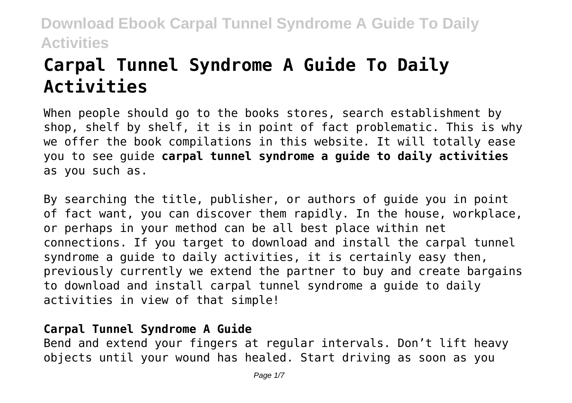# **Carpal Tunnel Syndrome A Guide To Daily Activities**

When people should go to the books stores, search establishment by shop, shelf by shelf, it is in point of fact problematic. This is why we offer the book compilations in this website. It will totally ease you to see guide **carpal tunnel syndrome a guide to daily activities** as you such as.

By searching the title, publisher, or authors of guide you in point of fact want, you can discover them rapidly. In the house, workplace, or perhaps in your method can be all best place within net connections. If you target to download and install the carpal tunnel syndrome a guide to daily activities, it is certainly easy then, previously currently we extend the partner to buy and create bargains to download and install carpal tunnel syndrome a guide to daily activities in view of that simple!

### **Carpal Tunnel Syndrome A Guide**

Bend and extend your fingers at regular intervals. Don't lift heavy objects until your wound has healed. Start driving as soon as you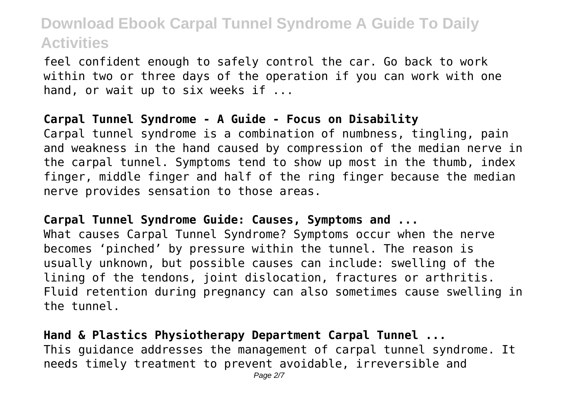feel confident enough to safely control the car. Go back to work within two or three days of the operation if you can work with one hand, or wait up to six weeks if ...

#### **Carpal Tunnel Syndrome - A Guide - Focus on Disability**

Carpal tunnel syndrome is a combination of numbness, tingling, pain and weakness in the hand caused by compression of the median nerve in the carpal tunnel. Symptoms tend to show up most in the thumb, index finger, middle finger and half of the ring finger because the median nerve provides sensation to those areas.

#### **Carpal Tunnel Syndrome Guide: Causes, Symptoms and ...**

What causes Carpal Tunnel Syndrome? Symptoms occur when the nerve becomes 'pinched' by pressure within the tunnel. The reason is usually unknown, but possible causes can include: swelling of the lining of the tendons, joint dislocation, fractures or arthritis. Fluid retention during pregnancy can also sometimes cause swelling in the tunnel.

### **Hand & Plastics Physiotherapy Department Carpal Tunnel ...**

This guidance addresses the management of carpal tunnel syndrome. It needs timely treatment to prevent avoidable, irreversible and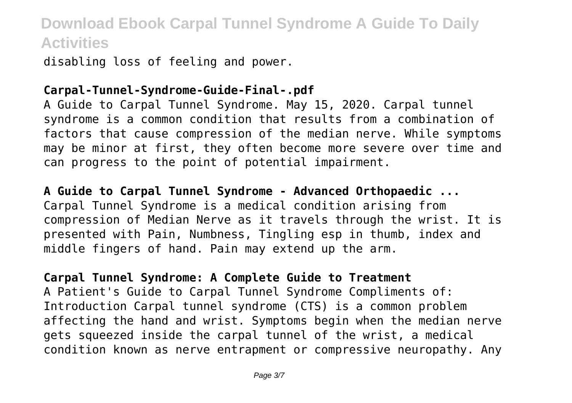disabling loss of feeling and power.

#### **Carpal-Tunnel-Syndrome-Guide-Final-.pdf**

A Guide to Carpal Tunnel Syndrome. May 15, 2020. Carpal tunnel syndrome is a common condition that results from a combination of factors that cause compression of the median nerve. While symptoms may be minor at first, they often become more severe over time and can progress to the point of potential impairment.

### **A Guide to Carpal Tunnel Syndrome - Advanced Orthopaedic ...** Carpal Tunnel Syndrome is a medical condition arising from compression of Median Nerve as it travels through the wrist. It is presented with Pain, Numbness, Tingling esp in thumb, index and middle fingers of hand. Pain may extend up the arm.

### **Carpal Tunnel Syndrome: A Complete Guide to Treatment**

A Patient's Guide to Carpal Tunnel Syndrome Compliments of: Introduction Carpal tunnel syndrome (CTS) is a common problem affecting the hand and wrist. Symptoms begin when the median nerve gets squeezed inside the carpal tunnel of the wrist, a medical condition known as nerve entrapment or compressive neuropathy. Any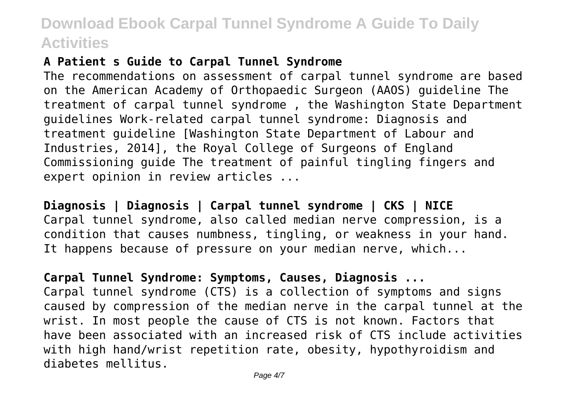### **A Patient s Guide to Carpal Tunnel Syndrome**

The recommendations on assessment of carpal tunnel syndrome are based on the American Academy of Orthopaedic Surgeon (AAOS) guideline The treatment of carpal tunnel syndrome , the Washington State Department guidelines Work-related carpal tunnel syndrome: Diagnosis and treatment guideline [Washington State Department of Labour and Industries, 2014], the Royal College of Surgeons of England Commissioning guide The treatment of painful tingling fingers and expert opinion in review articles ...

**Diagnosis | Diagnosis | Carpal tunnel syndrome | CKS | NICE** Carpal tunnel syndrome, also called median nerve compression, is a condition that causes numbness, tingling, or weakness in your hand. It happens because of pressure on your median nerve, which...

### **Carpal Tunnel Syndrome: Symptoms, Causes, Diagnosis ...**

Carpal tunnel syndrome (CTS) is a collection of symptoms and signs caused by compression of the median nerve in the carpal tunnel at the wrist. In most people the cause of CTS is not known. Factors that have been associated with an increased risk of CTS include activities with high hand/wrist repetition rate, obesity, hypothyroidism and diabetes mellitus.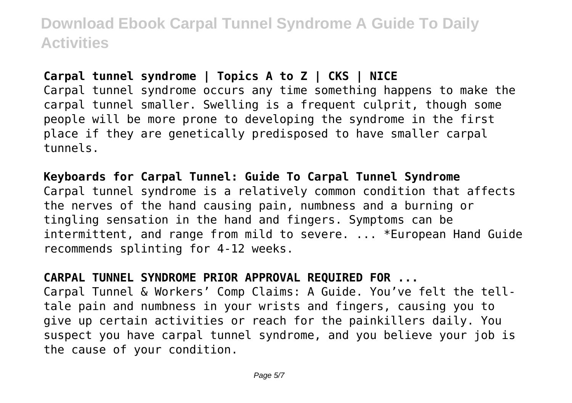### **Carpal tunnel syndrome | Topics A to Z | CKS | NICE**

Carpal tunnel syndrome occurs any time something happens to make the carpal tunnel smaller. Swelling is a frequent culprit, though some people will be more prone to developing the syndrome in the first place if they are genetically predisposed to have smaller carpal tunnels.

#### **Keyboards for Carpal Tunnel: Guide To Carpal Tunnel Syndrome**

Carpal tunnel syndrome is a relatively common condition that affects the nerves of the hand causing pain, numbness and a burning or tingling sensation in the hand and fingers. Symptoms can be intermittent, and range from mild to severe. ... \*European Hand Guide recommends splinting for 4-12 weeks.

#### **CARPAL TUNNEL SYNDROME PRIOR APPROVAL REQUIRED FOR ...**

Carpal Tunnel & Workers' Comp Claims: A Guide. You've felt the telltale pain and numbness in your wrists and fingers, causing you to give up certain activities or reach for the painkillers daily. You suspect you have carpal tunnel syndrome, and you believe your job is the cause of your condition.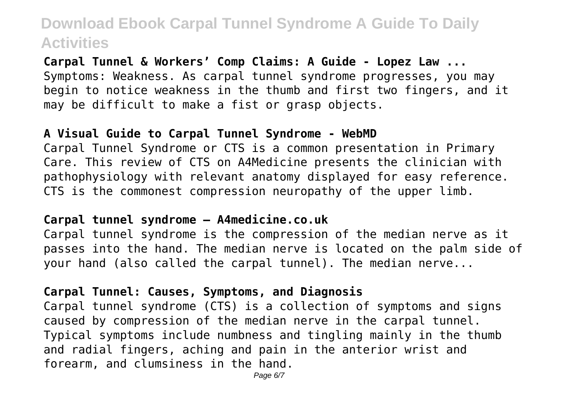**Carpal Tunnel & Workers' Comp Claims: A Guide - Lopez Law ...** Symptoms: Weakness. As carpal tunnel syndrome progresses, you may begin to notice weakness in the thumb and first two fingers, and it may be difficult to make a fist or grasp objects.

#### **A Visual Guide to Carpal Tunnel Syndrome - WebMD**

Carpal Tunnel Syndrome or CTS is a common presentation in Primary Care. This review of CTS on A4Medicine presents the clinician with pathophysiology with relevant anatomy displayed for easy reference. CTS is the commonest compression neuropathy of the upper limb.

#### **Carpal tunnel syndrome – A4medicine.co.uk**

Carpal tunnel syndrome is the compression of the median nerve as it passes into the hand. The median nerve is located on the palm side of your hand (also called the carpal tunnel). The median nerve...

#### **Carpal Tunnel: Causes, Symptoms, and Diagnosis**

Carpal tunnel syndrome (CTS) is a collection of symptoms and signs caused by compression of the median nerve in the carpal tunnel. Typical symptoms include numbness and tingling mainly in the thumb and radial fingers, aching and pain in the anterior wrist and forearm, and clumsiness in the hand.